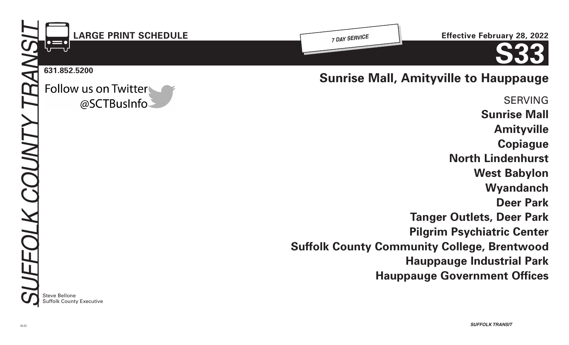

Follow us on Twitter @SCTBusInfo **Sunrise Mall, Amityville to Hauppauge** 

SERVING **Sunrise Mall Amityville Copiague North Lindenhurst West Babylon Wyandanch Deer Park Tanger Outlets, Deer Park Pilgrim Psychiatric Center Suffolk County Community College, Brentwood Hauppauge Industrial Park Hauppauge Government Offices**

**Steve Bellone** Suffolk County Executive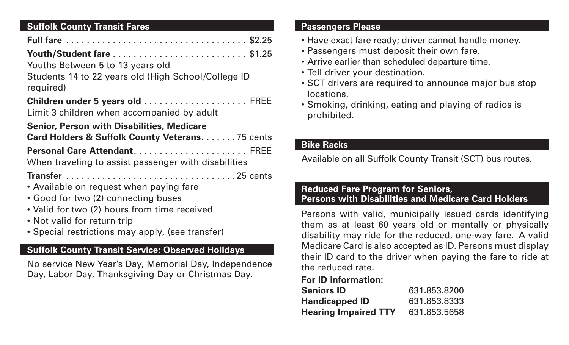## **Suffolk County Transit Fares**

| Youths Between 5 to 13 years old                                                     |  |
|--------------------------------------------------------------------------------------|--|
| Students 14 to 22 years old (High School/College ID<br>required)                     |  |
| Children under 5 years old  FREE<br>Limit 3 children when accompanied by adult       |  |
| <b>Senior, Person with Disabilities, Medicare</b>                                    |  |
| Card Holders & Suffolk County Veterans. 75 cents                                     |  |
| Personal Care Attendant FREE<br>When traveling to assist passenger with disabilities |  |
|                                                                                      |  |
| • Available on request when paying fare                                              |  |
| • Good for two (2) connecting buses                                                  |  |
| • Valid for two (2) hours from time received                                         |  |
| • Not valid for return trip                                                          |  |
| • Special restrictions may apply, (see transfer)                                     |  |

# **Suffolk County Transit Service: Observed Holidays**

No service New Year's Day, Memorial Day, Independence Day, Labor Day, Thanksgiving Day or Christmas Day.

### **Passengers Please**

- Have exact fare ready; driver cannot handle money.
- Passengers must deposit their own fare.
- Arrive earlier than scheduled departure time.
- Tell driver your destination.
- SCT drivers are required to announce major bus stop locations.
- Smoking, drinking, eating and playing of radios is prohibited.

## **Bike Racks**

Available on all Suffolk County Transit (SCT) bus routes.

## **Reduced Fare Program for Seniors, Persons with Disabilities and Medicare Card Holders**

Persons with valid, municipally issued cards identifying them as at least 60 years old or mentally or physically disability may ride for the reduced, one-way fare. A valid Medicare Card is also accepted as ID. Persons must display their ID card to the driver when paying the fare to ride at the reduced rate.

## **For ID information:**

| <b>Seniors ID</b>           | 631.853.8200 |
|-----------------------------|--------------|
| <b>Handicapped ID</b>       | 631.853.8333 |
| <b>Hearing Impaired TTY</b> | 631.853.5658 |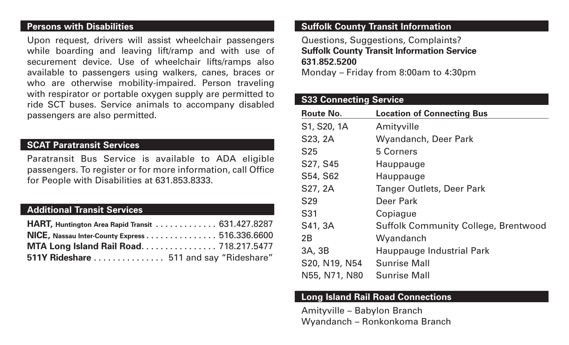#### **Persons with Disabilities**

Upon request, drivers will assist wheelchair passengers while boarding and leaving lift/ramp and with use of securement device. Use of wheelchair lifts/ramps also available to passengers using walkers, canes, braces or who are otherwise mobility-impaired. Person traveling with respirator or portable oxygen supply are permitted to ride SCT buses. Service animals to accompany disabled passengers are also permitted.

### **SCAT Paratransit Services**

Paratransit Bus Service is available to ADA eligible passengers. To register or for more information, call Office for People with Disabilities at 631.853.8333.

## **Additional Transit Services**

| HART, Huntington Area Rapid Transit 631.427.8287 |  |
|--------------------------------------------------|--|
| NICE, Nassau Inter-County Express 516.336.6600   |  |
| MTA Long Island Rail Road 718.217.5477           |  |
| 511Y Rideshare  511 and say "Rideshare"          |  |

## **Suffolk County Transit Information**

Questions, Suggestions, Complaints? **Suffolk County Transit Information Service 631.852.5200**

Monday – Friday from 8:00am to 4:30pm

## **S33 Connecting Service**

| <b>Route No.</b> | <b>Location of Connecting Bus</b>           |
|------------------|---------------------------------------------|
| S1, S20, 1A      | Amityville                                  |
| S23, 2A          | Wyandanch, Deer Park                        |
| S <sub>25</sub>  | 5 Corners                                   |
| S27, S45         | Hauppauge                                   |
| S54, S62         | Hauppauge                                   |
| S27, 2A          | Tanger Outlets, Deer Park                   |
| S <sub>29</sub>  | Deer Park                                   |
| S31              | Copiague                                    |
| S41, 3A          | <b>Suffolk Community College, Brentwood</b> |
| 2B               | Wyandanch                                   |
| 3A, 3B           | Hauppauge Industrial Park                   |
| S20, N19, N54    | <b>Sunrise Mall</b>                         |
| N55, N71, N80    | <b>Sunrise Mall</b>                         |

### **Long Island Rail Road Connections**

Amityville – Babylon Branch Wyandanch – Ronkonkoma Branch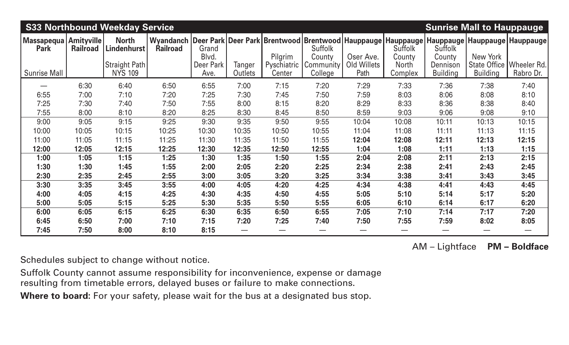| <b>S33 Northbound Weekday Service</b><br><b>Sunrise Mall to Hauppauge</b> |                 |                                 |                                                                                                        |                          |                   |                       |                          |                     |                         |                             |                 |                                         |
|---------------------------------------------------------------------------|-----------------|---------------------------------|--------------------------------------------------------------------------------------------------------|--------------------------|-------------------|-----------------------|--------------------------|---------------------|-------------------------|-----------------------------|-----------------|-----------------------------------------|
| Massapequa   Amityville  <br><b>Park</b>                                  | <b>Railroad</b> | <b>North</b><br>Lindenhurst     | Wyandanch   Deer Park   Deer Park   Brentwood   Brentwood   Hauppauge   Hauppauge  <br><b>Railroad</b> | Grand<br>Blvd.           |                   | Pilgrim               | <b>Suffolk</b><br>County | Oser Ave.           | Suffolk<br>County       | Suffolk<br>County           | New York        | Hauppauge Hauppauge Hauppauge           |
| <b>Sunrise Mall</b>                                                       |                 | Straight Path<br><b>NYS 109</b> |                                                                                                        | <b>Deer Park</b><br>Ave. | Tanger<br>Outlets | Pyschiatric<br>Center | Community<br>College     | Old Willets<br>Path | <b>North</b><br>Complex | Dennison<br><b>Building</b> | <b>Building</b> | State Office   Wheeler Rd.<br>Rabro Dr. |
|                                                                           | 6:30            | 6:40                            | 6:50                                                                                                   | 6:55                     | 7:00              | 7:15                  | 7:20                     | 7:29                | 7:33                    | 7:36                        | 7:38            | 7:40                                    |
| 6:55                                                                      | 7:00            | 7:10                            | 7:20                                                                                                   | 7:25                     | 7:30              | 7:45                  | 7:50                     | 7:59                | 8:03                    | 8:06                        | 8:08            | 8:10                                    |
| 7:25                                                                      | 7:30            | 7:40                            | 7:50                                                                                                   | 7:55                     | 8:00              | 8:15                  | 8:20                     | 8:29                | 8:33                    | 8:36                        | 8:38            | 8:40                                    |
| 7:55                                                                      | 8:00            | 8:10                            | 8:20                                                                                                   | 8:25                     | 8:30              | 8:45                  | 8:50                     | 8:59                | 9:03                    | 9:06                        | 9:08            | 9:10                                    |
| 9:00                                                                      | 9:05            | 9:15                            | 9:25                                                                                                   | 9:30                     | 9:35              | 9:50                  | 9:55                     | 10:04               | 10:08                   | 10:11                       | 10:13           | 10:15                                   |
| 10:00                                                                     | 10:05           | 10:15                           | 10:25                                                                                                  | 10:30                    | 10:35             | 10:50                 | 10:55                    | 11:04               | 11:08                   | 11:11                       | 11:13           | 11:15                                   |
| 11:00                                                                     | 11:05           | 11:15                           | 11:25                                                                                                  | 11:30                    | 11:35             | 11:50                 | 11:55                    | 12:04               | 12:08                   | 12:11                       | 12:13           | 12:15                                   |
| 12:00                                                                     | 12:05           | 12:15                           | 12:25                                                                                                  | 12:30                    | 12:35             | 12:50                 | 12:55                    | 1:04                | 1:08                    | 1:11                        | 1:13            | 1:15                                    |
| 1:00                                                                      | 1:05            | 1:15                            | 1:25                                                                                                   | 1:30                     | 1:35              | 1:50                  | 1:55                     | 2:04                | 2:08                    | 2:11                        | 2:13            | 2:15                                    |
| 1:30                                                                      | 1:30            | 1:45                            | 1:55                                                                                                   | 2:00                     | 2:05              | 2:20                  | 2:25                     | 2:34                | 2:38                    | 2:41                        | 2:43            | 2:45                                    |
| 2:30                                                                      | 2:35            | 2:45                            | 2:55                                                                                                   | 3:00                     | 3:05              | 3:20                  | 3:25                     | 3:34                | 3:38                    | 3:41                        | 3:43            | 3:45                                    |
| 3:30                                                                      | 3:35            | 3:45                            | 3:55                                                                                                   | 4:00                     | 4:05              | 4:20                  | 4:25                     | 4:34                | 4:38                    | 4:41                        | 4:43            | 4:45                                    |
| 4:00                                                                      | 4:05            | 4:15                            | 4:25                                                                                                   | 4:30                     | 4:35              | 4:50                  | 4:55                     | 5:05                | 5:10                    | 5:14                        | 5:17            | 5:20                                    |
| 5:00                                                                      | 5:05            | 5:15                            | 5:25                                                                                                   | 5:30                     | 5:35              | 5:50                  | 5:55                     | 6:05                | 6:10                    | 6:14                        | 6:17            | 6:20                                    |
| 6:00                                                                      | 6:05            | 6:15                            | 6:25                                                                                                   | 6:30                     | 6:35              | 6:50                  | 6:55                     | 7:05                | 7:10                    | 7:14                        | 7:17            | 7:20                                    |
| 6:45                                                                      | 6:50            | 7:00                            | 7:10                                                                                                   | 7:15                     | 7:20              | 7:25                  | 7:40                     | 7:50                | 7:55                    | 7:59                        | 8:02            | 8:05                                    |
| 7:45                                                                      | 7:50            | 8:00                            | 8:10                                                                                                   | 8:15                     |                   |                       |                          |                     |                         |                             |                 |                                         |

AM – Lightface **PM – Boldface**

Schedules subject to change without notice.

Suffolk County cannot assume responsibility for inconvenience, expense or damage resulting from timetable errors, delayed buses or failure to make connections.

**Where to board:** For your safety, please wait for the bus at a designated bus stop.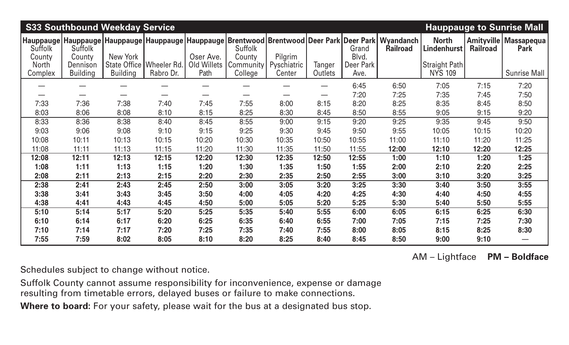| <b>S33 Southbound Weekday Service</b><br><b>Hauppauge to Sunrise Mall</b> |                             |                 |                                         |                     |                        |                       |                   |                   |                                                                                                                                          |                                 |                 |                                               |
|---------------------------------------------------------------------------|-----------------------------|-----------------|-----------------------------------------|---------------------|------------------------|-----------------------|-------------------|-------------------|------------------------------------------------------------------------------------------------------------------------------------------|---------------------------------|-----------------|-----------------------------------------------|
| Suffolk<br>County                                                         | Suffolk<br>County           | New York        |                                         | Oser Ave.           | Suffolk<br>County      | Pilgrim               |                   | Grand<br>Blvd.    | Hauppauge   Hauppauge   Hauppauge   Hauppauge   Hauppauge   Brentwood   Brentwood   Deer Park   Deer Park   Wyandanch<br><b>Railroad</b> | <b>North</b><br>Lindenhurst     | <b>Railroad</b> | <b>Amityville   Massapequa</b><br><b>Park</b> |
| <b>North</b><br>Complex                                                   | Dennison<br><b>Building</b> | <b>Building</b> | State Office   Wheeler Rd.<br>Rabro Dr. | Old Willets<br>Path | Community  <br>College | Pyschiatric<br>Center | Tanger<br>Outlets | Deer Park<br>Ave. |                                                                                                                                          | Straight Path<br><b>NYS 109</b> |                 | <b>Sunrise Mall</b>                           |
|                                                                           |                             |                 |                                         |                     |                        |                       |                   | 6:45              | 6:50                                                                                                                                     | 7:05                            | 7:15            | 7:20                                          |
|                                                                           |                             |                 |                                         |                     |                        |                       |                   | 7:20              | 7:25                                                                                                                                     | 7:35                            | 7:45            | 7:50                                          |
| 7:33                                                                      | 7:36                        | 7:38            | 7:40                                    | 7:45                | 7:55                   | 8:00                  | 8:15              | 8:20              | 8:25                                                                                                                                     | 8:35                            | 8:45            | 8:50                                          |
| 8:03                                                                      | 8:06                        | 8:08            | 8:10                                    | 8:15                | 8:25                   | 8:30                  | 8:45              | 8:50              | 8:55                                                                                                                                     | 9:05                            | 9:15            | 9:20                                          |
| 8:33                                                                      | 8:36                        | 8:38            | 8:40                                    | 8:45                | 8:55                   | 9:00                  | 9:15              | 9:20              | 9:25                                                                                                                                     | 9:35                            | 9:45            | 9:50                                          |
| 9:03                                                                      | 9:06                        | 9:08            | 9:10                                    | 9:15                | 9:25                   | 9:30                  | 9:45              | 9:50              | 9:55                                                                                                                                     | 10:05                           | 10:15           | 10:20                                         |
| 10:08                                                                     | 10:11                       | 10:13           | 10:15                                   | 10:20               | 10:30                  | 10:35                 | 10:50             | 10:55             | 11:00                                                                                                                                    | 11:10                           | 11:20           | 11:25                                         |
| 11:08                                                                     | 11:11                       | 11:13           | 11:15                                   | 11:20               | 11:30                  | 11:35                 | 11:50             | 11:55             | 12:00                                                                                                                                    | 12:10                           | 12:20           | 12:25                                         |
| 12:08                                                                     | 12:11                       | 12:13           | 12:15                                   | 12:20               | 12:30                  | 12:35                 | 12:50             | 12:55             | 1:00                                                                                                                                     | 1:10                            | 1:20            | 1:25                                          |
| 1:08                                                                      | 1:11                        | 1:13            | 1:15                                    | 1:20                | 1:30                   | 1:35                  | 1:50              | 1:55              | 2:00                                                                                                                                     | 2:10                            | 2:20            | 2:25                                          |
| 2:08                                                                      | 2:11                        | 2:13            | 2:15                                    | 2:20                | 2:30                   | 2:35                  | 2:50              | 2:55              | 3:00                                                                                                                                     | 3:10                            | 3:20            | 3:25                                          |
| 2:38                                                                      | 2:41                        | 2:43            | 2:45                                    | 2:50                | 3:00                   | 3:05                  | 3:20              | 3:25              | 3:30                                                                                                                                     | 3:40                            | 3:50            | 3:55                                          |
| 3:38                                                                      | 3:41                        | 3:43            | 3:45                                    | 3:50                | 4:00                   | 4:05                  | 4:20              | 4:25              | 4:30                                                                                                                                     | 4:40                            | 4:50            | 4:55                                          |
| 4:38                                                                      | 4:41                        | 4:43            | 4:45                                    | 4:50                | 5:00                   | 5:05                  | 5:20              | 5:25              | 5:30                                                                                                                                     | 5:40                            | 5:50            | 5:55                                          |
| 5:10                                                                      | 5:14                        | 5:17            | 5:20                                    | 5:25                | 5:35                   | 5:40                  | 5:55              | 6:00              | 6:05                                                                                                                                     | 6:15                            | 6:25            | 6:30                                          |
| 6:10                                                                      | 6:14                        | 6:17            | 6:20                                    | 6:25                | 6:35                   | 6:40                  | 6:55              | 7:00              | 7:05                                                                                                                                     | 7:15                            | 7:25            | 7:30                                          |
| 7:10                                                                      | 7:14                        | 7:17            | 7:20                                    | 7:25                | 7:35                   | 7:40                  | 7:55              | 8:00              | 8:05                                                                                                                                     | 8:15                            | 8:25            | 8:30                                          |
| 7:55                                                                      | 7:59                        | 8:02            | 8:05                                    | 8:10                | 8:20                   | 8:25                  | 8:40              | 8:45              | 8:50                                                                                                                                     | 9:00                            | 9:10            | —                                             |

AM – Lightface **PM – Boldface**

Schedules subject to change without notice.

Suffolk County cannot assume responsibility for inconvenience, expense or damage resulting from timetable errors, delayed buses or failure to make connections.

Where to board: For your safety, please wait for the bus at a designated bus stop.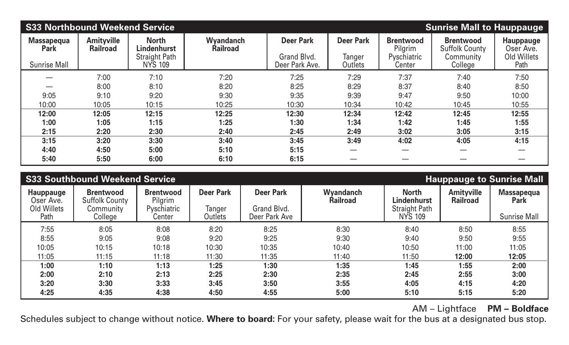| <b>S33 Northbound Weekend Service</b><br><b>Sunrise Mall to Hauppauge</b> |                                      |                                        |                                     |                               |                   |                             |                                           |                        |  |  |
|---------------------------------------------------------------------------|--------------------------------------|----------------------------------------|-------------------------------------|-------------------------------|-------------------|-----------------------------|-------------------------------------------|------------------------|--|--|
| <b>Massapequa</b><br><b>Park</b>                                          | <b>Amityville</b><br><b>Railroad</b> | <b>North</b><br>Lindenhurst            | <b>Wyandanch</b><br><b>Railroad</b> | <b>Deer Park</b>              | <b>Deer Park</b>  | <b>Brentwood</b><br>Pilgrim | <b>Brentwood</b><br><b>Suffolk County</b> | Hauppauge<br>Oser Ave. |  |  |
| <b>Sunrise Mall</b>                                                       |                                      | <b>Straight Path</b><br><b>NYS 109</b> |                                     | Grand Blvd.<br>Deer Park Ave. | Tanger<br>Outlets | Pyschiatric<br>Center       | Community<br>College                      | Old Willets<br>Path    |  |  |
|                                                                           | 7:00                                 | 7:10                                   | 7:20                                | 7:25                          | 7:29              | 7:37                        | 7:40                                      | 7:50                   |  |  |
|                                                                           | 8:00                                 | 8:10                                   | 8:20                                | 8:25                          | 8:29              | 8:37                        | 8:40                                      | 8:50                   |  |  |
| 9:05                                                                      | 9:10                                 | 9:20                                   | 9:30                                | 9:35                          | 9:39              | 9:47                        | 9:50                                      | 10:00                  |  |  |
| 10:00                                                                     | 10:05                                | 10:15                                  | 10:25                               | 10:30                         | 10:34             | 10:42                       | 10:45                                     | 10:55                  |  |  |
| 12:00                                                                     | 12:05                                | 12:15                                  | 12:25                               | 12:30                         | 12:34             | 12:42                       | 12:45                                     | 12:55                  |  |  |
| 1:00                                                                      | 1:05                                 | 1:15                                   | 1:25                                | 1:30                          | 1:34              | 1:42                        | 1:45                                      | 1:55                   |  |  |
| 2:15                                                                      | 2:20                                 | 2:30                                   | 2:40                                | 2:45                          | 2:49              | 3:02                        | 3:05                                      | 3:15                   |  |  |
| 3:15                                                                      | 3:20                                 | 3:30                                   | 3:40                                | 3:45                          | 3:49              | 4:02                        | 4:05                                      | 4:15                   |  |  |
| 4:40                                                                      | 4:50                                 | 5:00                                   | 5:10                                | 5:15                          |                   |                             |                                           |                        |  |  |
| 5:40                                                                      | 5:50                                 | 6:00                                   | 6:10                                | 6:15                          |                   |                             |                                           |                        |  |  |

|                                              | <b>S33 Southbound Weekend Service</b>                  |                                            |                            |                                 |                              |                                                     |                                      | <b>Hauppauge to Sunrise Mall</b> |
|----------------------------------------------|--------------------------------------------------------|--------------------------------------------|----------------------------|---------------------------------|------------------------------|-----------------------------------------------------|--------------------------------------|----------------------------------|
| <b>Hauppauge</b><br>Oser Ave.<br>Old Willets | <b>Brentwood</b><br><b>Suffolk County</b><br>Community | <b>Brentwood</b><br>Pilgrim<br>Pyschiatric | <b>Deer Park</b><br>Tanger | <b>Deer Park</b><br>Grand Blvd. | Wyandanch<br><b>Railroad</b> | <b>North</b><br>Lindenhurst<br><b>Straight Path</b> | <b>Amityville</b><br><b>Railroad</b> | Massapequa<br><b>Park</b>        |
| Path                                         | College                                                | Center                                     | Outlets                    | Deer Park Ave                   |                              | <b>NYS 109</b>                                      |                                      | <b>Sunrise Mall</b>              |
| 7:55                                         | 8:05                                                   | 8:08                                       | 8:20                       | 8:25                            | 8:30                         | 8:40                                                | 8:50                                 | 8:55                             |
| 8:55                                         | 9:05                                                   | 9:08                                       | 9:20                       | 9:25                            | 9:30                         | 9:40                                                | 9:50                                 | 9:55                             |
| 10:05                                        | 10:15                                                  | 10:18                                      | 10:30                      | 10:35                           | 10:40                        | 10:50                                               | 11:00                                | 11:05                            |
| 11:05                                        | 11:15                                                  | 11:18                                      | 11:30                      | 11:35                           | 11:40                        | 11:50                                               | 12:00                                | 12:05                            |
| 1:00                                         | 1:10                                                   | 1:13                                       | 1:25                       | 1:30                            | 1:35                         | 1:45                                                | 1:55                                 | 2:00                             |
| 2:00                                         | 2:10                                                   | 2:13                                       | 2:25                       | 2:30                            | 2:35                         | 2:45                                                | 2:55                                 | 3:00                             |
| 3:20                                         | 3:30                                                   | 3:33                                       | 3:45                       | 3:50                            | 3:55                         | 4:05                                                | 4:15                                 | 4:20                             |
| 4:25                                         | 4:35                                                   | 4:38                                       | 4:50                       | 4:55                            | 5:00                         | 5:10                                                | 5:15                                 | 5:20                             |

AM – Lightface **PM – Boldface**

Schedules subject to change without notice. **Where to board:** For your safety, please wait for the bus at a designated bus stop.